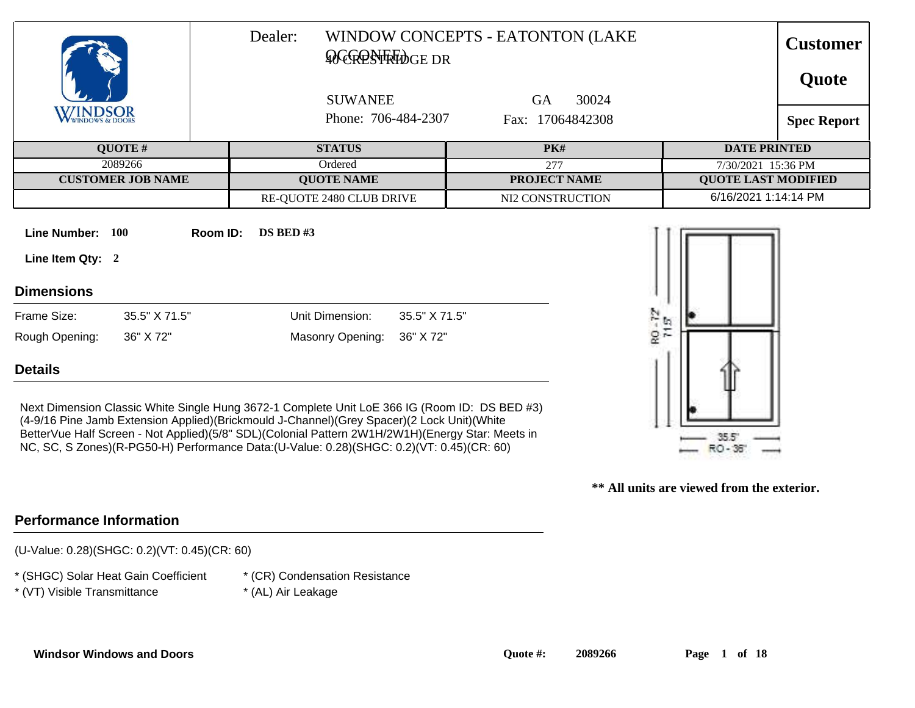|                                                                       | Dealer:<br><b>ACGRESTRIDGE DR</b>                                                                                                                                                           | WINDOW CONCEPTS - EATONTON (LAKE | <b>Customer</b><br>Quote   |
|-----------------------------------------------------------------------|---------------------------------------------------------------------------------------------------------------------------------------------------------------------------------------------|----------------------------------|----------------------------|
| <b>WINDSOR</b>                                                        | <b>SUWANEE</b>                                                                                                                                                                              | 30024<br><b>GA</b>               |                            |
|                                                                       | Phone: 706-484-2307                                                                                                                                                                         | Fax: 17064842308                 | <b>Spec Report</b>         |
| QUOTE#                                                                | <b>STATUS</b>                                                                                                                                                                               | <b>PK#</b>                       | <b>DATE PRINTED</b>        |
| 2089266                                                               | Ordered                                                                                                                                                                                     | 277                              | 7/30/2021 15:36 PM         |
| <b>CUSTOMER JOB NAME</b>                                              | <b>QUOTE NAME</b>                                                                                                                                                                           | <b>PROJECT NAME</b>              | <b>QUOTE LAST MODIFIED</b> |
|                                                                       | RE-QUOTE 2480 CLUB DRIVE                                                                                                                                                                    | NI2 CONSTRUCTION                 | 6/16/2021 1:14:14 PM       |
| Line Number: 100<br>Room ID:<br>Line Item Qty: 2<br><b>Dimensions</b> | $DS$ BED #3                                                                                                                                                                                 |                                  |                            |
| Frame Size:<br>35.5" X 71.5"                                          | Unit Dimension:<br>35.5" X 71.5"                                                                                                                                                            |                                  |                            |
| Rough Opening:<br>36" X 72"                                           | Masonry Opening:<br>36" X 72"                                                                                                                                                               |                                  | RO-72                      |
| <b>Details</b>                                                        |                                                                                                                                                                                             |                                  |                            |
|                                                                       | Next Dimension Classic White Single Hung 3672-1 Complete Unit LoE 366 IG (Room ID: DS BED #3)<br>(4-9/16 Pine Jamb Extension Applied)(Brickmould J-Channel)(Grey Spacer)(2 Lock Unit)(White |                                  |                            |

(4-9/16 Pine Jamb Extension Applied)(Brickmould J-Channel)(Grey Spacer)(2 Lock Unit)(White BetterVue Half Screen - Not Applied)(5/8" SDL)(Colonial Pattern 2W1H/2W1H)(Energy Star: Meets in NC, SC, S Zones)(R-PG50-H) Performance Data:(U-Value: 0.28)(SHGC: 0.2)(VT: 0.45)(CR: 60)

**\*\* All units are viewed from the exterior.**

35.51 RO-36

# **Performance Information**

(U-Value: 0.28)(SHGC: 0.2)(VT: 0.45)(CR: 60)

\* (SHGC) Solar Heat Gain Coefficient

\* (CR) Condensation Resistance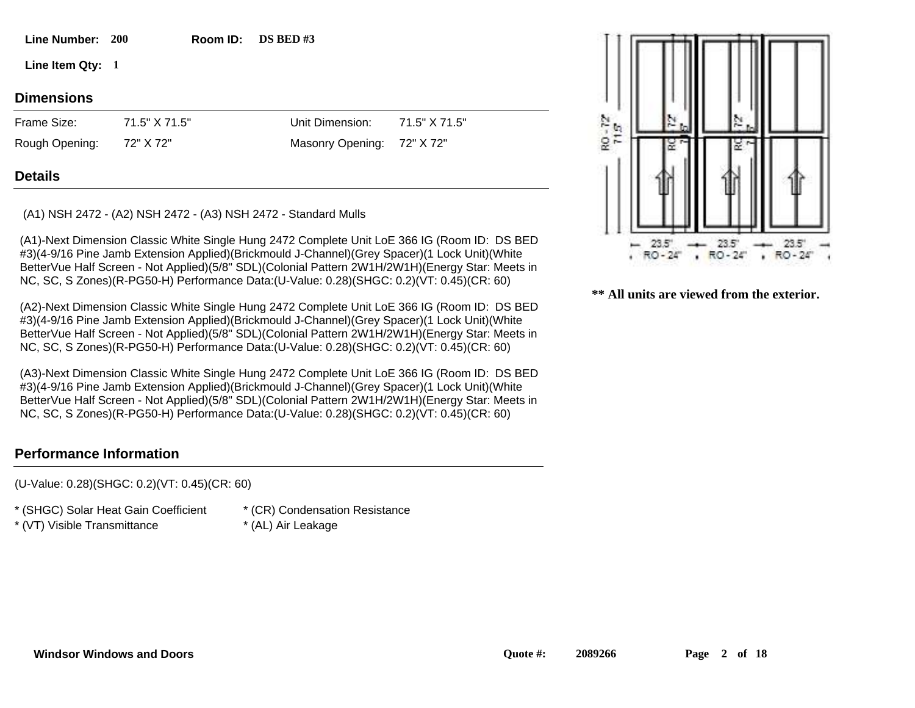**200 Line Number: Room ID: Room ID:** DS BED #3

**1 Line Item Qty:**

# **Dimensions**

72" X 72" 71.5" X 71.5" Frame Size: Rough Opening:

Unit Dimension: Masonry Opening: 72" X 72" 71.5" X 71.5"

# **Details**

(A1) NSH 2472 - (A2) NSH 2472 - (A3) NSH 2472 - Standard Mulls

(A1)-Next Dimension Classic White Single Hung 2472 Complete Unit LoE 366 IG (Room ID: DS BED #3)(4-9/16 Pine Jamb Extension Applied)(Brickmould J-Channel)(Grey Spacer)(1 Lock Unit)(White BetterVue Half Screen - Not Applied)(5/8" SDL)(Colonial Pattern 2W1H/2W1H)(Energy Star: Meets in NC, SC, S Zones)(R-PG50-H) Performance Data:(U-Value: 0.28)(SHGC: 0.2)(VT: 0.45)(CR: 60)

(A2)-Next Dimension Classic White Single Hung 2472 Complete Unit LoE 366 IG (Room ID: DS BED #3)(4-9/16 Pine Jamb Extension Applied)(Brickmould J-Channel)(Grey Spacer)(1 Lock Unit)(White BetterVue Half Screen - Not Applied)(5/8" SDL)(Colonial Pattern 2W1H/2W1H)(Energy Star: Meets in NC, SC, S Zones)(R-PG50-H) Performance Data:(U-Value: 0.28)(SHGC: 0.2)(VT: 0.45)(CR: 60)

(A3)-Next Dimension Classic White Single Hung 2472 Complete Unit LoE 366 IG (Room ID: DS BED #3)(4-9/16 Pine Jamb Extension Applied)(Brickmould J-Channel)(Grey Spacer)(1 Lock Unit)(White BetterVue Half Screen - Not Applied)(5/8" SDL)(Colonial Pattern 2W1H/2W1H)(Energy Star: Meets in NC, SC, S Zones)(R-PG50-H) Performance Data:(U-Value: 0.28)(SHGC: 0.2)(VT: 0.45)(CR: 60)

# **Performance Information**

(U-Value: 0.28)(SHGC: 0.2)(VT: 0.45)(CR: 60)

\* (SHGC) Solar Heat Gain Coefficient

- \* (VT) Visible Transmittance \* (AL) Air Leakage
- \* (CR) Condensation Resistance
- 

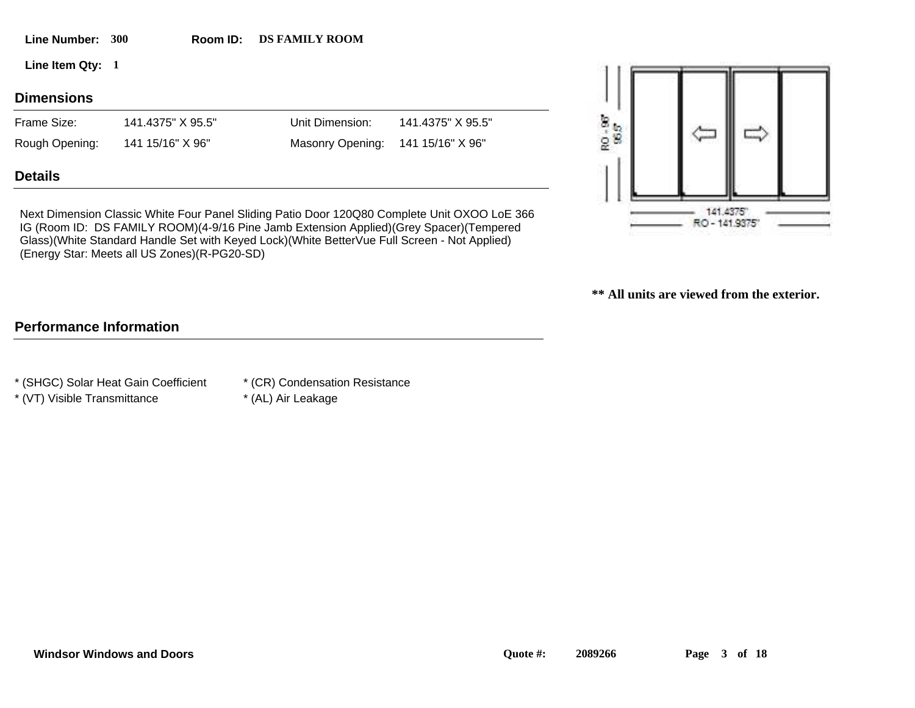| <b>Line Number:</b> | <b>300</b>        | Room ID: | <b>DS FAMILY ROOM</b> |                   |               |  |
|---------------------|-------------------|----------|-----------------------|-------------------|---------------|--|
| Line Item Qty: 1    |                   |          |                       |                   |               |  |
| <b>Dimensions</b>   |                   |          |                       |                   |               |  |
| Frame Size:         | 141.4375" X 95.5" |          | Unit Dimension:       | 141.4375" X 95.5" | Тb.<br>œ<br>肋 |  |
| Rough Opening:      | 141 15/16" X 96"  |          | Masonry Opening:      | 141 15/16" X 96"  | 据<br>웊        |  |
|                     |                   |          |                       |                   |               |  |

**Details**

Next Dimension Classic White Four Panel Sliding Patio Door 120Q80 Complete Unit OXOO LoE 366 IG (Room ID: DS FAMILY ROOM)(4-9/16 Pine Jamb Extension Applied)(Grey Spacer)(Tempered Glass)(White Standard Handle Set with Keyed Lock)(White BetterVue Full Screen - Not Applied) (Energy Star: Meets all US Zones)(R-PG20-SD)



**\*\* All units are viewed from the exterior.**

# **Performance Information**

\* (SHGC) Solar Heat Gain Coefficient

- \* (CR) Condensation Resistance
- \* (VT) Visible Transmittance \* (AL) Air Leakage
-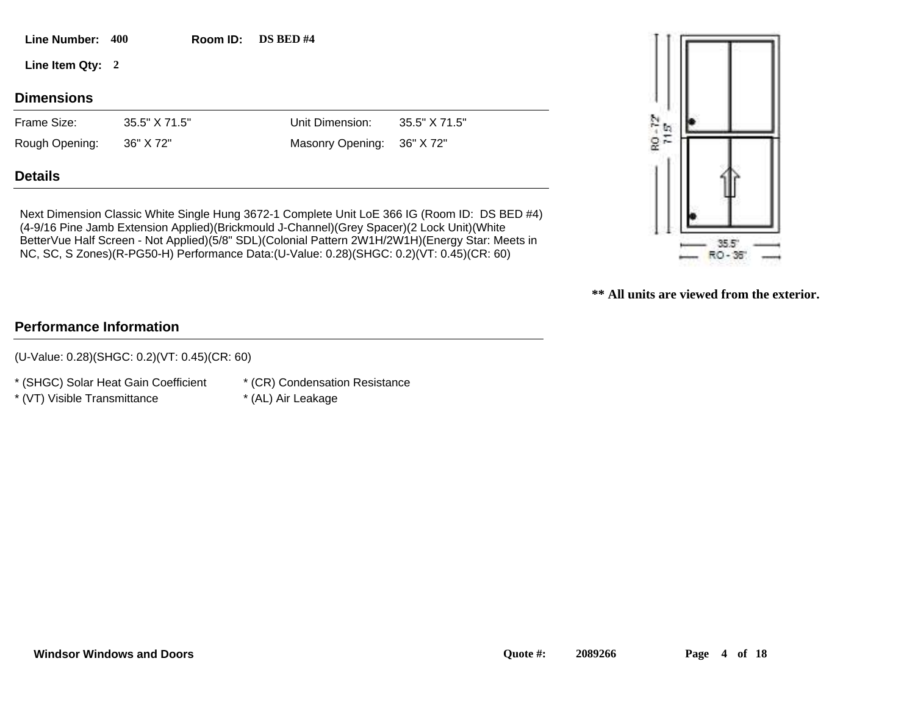| Line Number: 400  |               | Room ID: | <b>DS BED #4</b> |               |                             |  |
|-------------------|---------------|----------|------------------|---------------|-----------------------------|--|
| Line Item Qty: 2  |               |          |                  |               |                             |  |
| <b>Dimensions</b> |               |          |                  |               |                             |  |
| Frame Size:       | 35.5" X 71.5" |          | Unit Dimension:  | 35.5" X 71.5" | $\sum_{i=1}^N \mathbb{Q}_i$ |  |
| Rough Opening:    | 36" X 72"     |          | Masonry Opening: | 36" X 72"     | $\mathbb{R}^n$              |  |
| <b>Details</b>    |               |          |                  |               |                             |  |

Next Dimension Classic White Single Hung 3672-1 Complete Unit LoE 366 IG (Room ID: DS BED #4) (4-9/16 Pine Jamb Extension Applied)(Brickmould J-Channel)(Grey Spacer)(2 Lock Unit)(White BetterVue Half Screen - Not Applied)(5/8" SDL)(Colonial Pattern 2W1H/2W1H)(Energy Star: Meets in NC, SC, S Zones)(R-PG50-H) Performance Data:(U-Value: 0.28)(SHGC: 0.2)(VT: 0.45)(CR: 60)

 $35.5^\circ$ RO-38

**\*\* All units are viewed from the exterior.**

# **Performance Information**

(U-Value: 0.28)(SHGC: 0.2)(VT: 0.45)(CR: 60)

\* (SHGC) Solar Heat Gain Coefficient

\* (CR) Condensation Resistance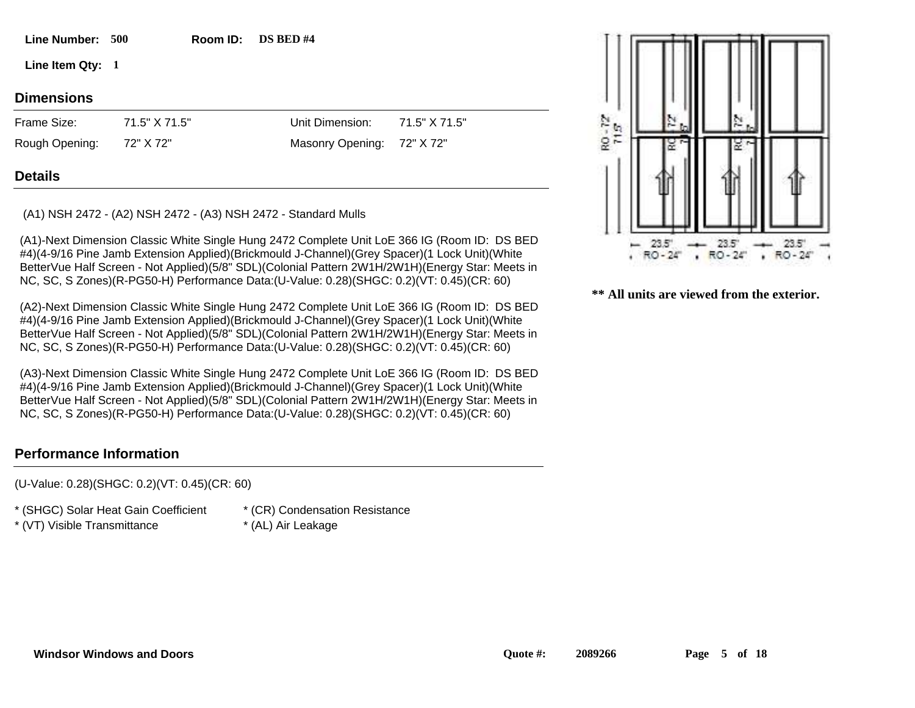# **500 Line Number: Room ID:**

**1 Line Item Qty:**

# **Dimensions**

72" X 72" 71.5" X 71.5" Frame Size: Rough Opening:

Masonry Opening: 72" X 72"

71.5" X 71.5"

Unit Dimension:

### **Details**

(A1) NSH 2472 - (A2) NSH 2472 - (A3) NSH 2472 - Standard Mulls

(A1)-Next Dimension Classic White Single Hung 2472 Complete Unit LoE 366 IG (Room ID: DS BED #4)(4-9/16 Pine Jamb Extension Applied)(Brickmould J-Channel)(Grey Spacer)(1 Lock Unit)(White BetterVue Half Screen - Not Applied)(5/8" SDL)(Colonial Pattern 2W1H/2W1H)(Energy Star: Meets in NC, SC, S Zones)(R-PG50-H) Performance Data:(U-Value: 0.28)(SHGC: 0.2)(VT: 0.45)(CR: 60)

**Room ID:** DS BED #4

(A2)-Next Dimension Classic White Single Hung 2472 Complete Unit LoE 366 IG (Room ID: DS BED #4)(4-9/16 Pine Jamb Extension Applied)(Brickmould J-Channel)(Grey Spacer)(1 Lock Unit)(White BetterVue Half Screen - Not Applied)(5/8" SDL)(Colonial Pattern 2W1H/2W1H)(Energy Star: Meets in NC, SC, S Zones)(R-PG50-H) Performance Data:(U-Value: 0.28)(SHGC: 0.2)(VT: 0.45)(CR: 60)

(A3)-Next Dimension Classic White Single Hung 2472 Complete Unit LoE 366 IG (Room ID: DS BED #4)(4-9/16 Pine Jamb Extension Applied)(Brickmould J-Channel)(Grey Spacer)(1 Lock Unit)(White BetterVue Half Screen - Not Applied)(5/8" SDL)(Colonial Pattern 2W1H/2W1H)(Energy Star: Meets in NC, SC, S Zones)(R-PG50-H) Performance Data:(U-Value: 0.28)(SHGC: 0.2)(VT: 0.45)(CR: 60)

### **Performance Information**

(U-Value: 0.28)(SHGC: 0.2)(VT: 0.45)(CR: 60)

\* (SHGC) Solar Heat Gain Coefficient

- \* (VT) Visible Transmittance \* (AL) Air Leakage
- \* (CR) Condensation Resistance
- 

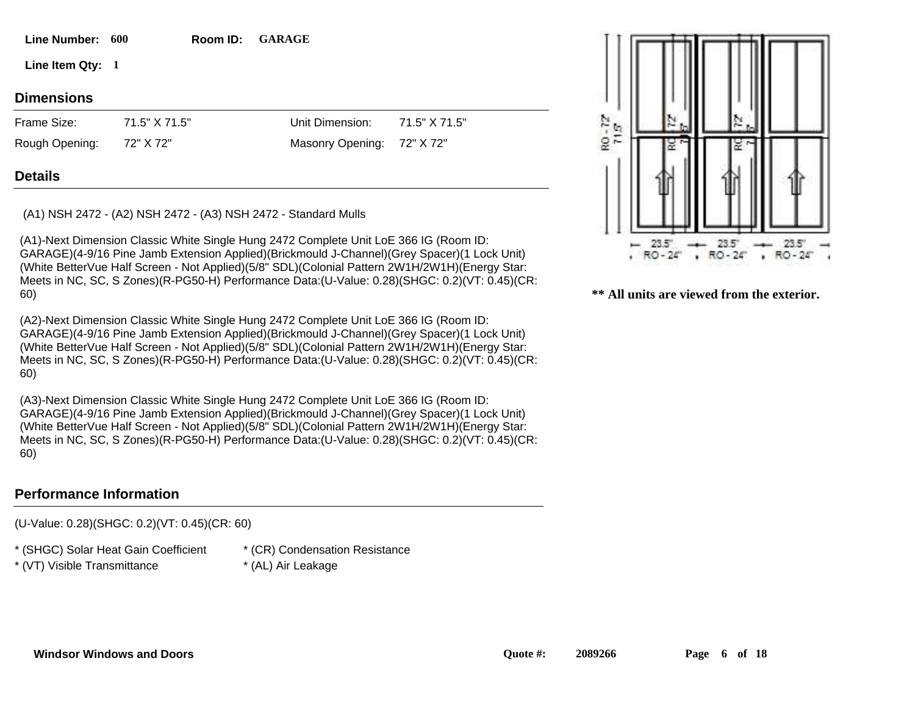|  |  | <b>Windsor Windows and Doors</b> |
|--|--|----------------------------------|
|--|--|----------------------------------|

#### **Line Number:** 600 Room ID:

**1 Line Item Qty:**

# **Dimensions**

72" X 72" 71.5" X 71.5" Frame Size: Rough Opening:

Masonry Opening: 72" X 72"

71.5" X 71.5"

Unit Dimension:

# **Details**

(A1) NSH 2472 - (A2) NSH 2472 - (A3) NSH 2472 - Standard Mulls

(A1)-Next Dimension Classic White Single Hung 2472 Complete Unit LoE 366 IG (Room ID: GARAGE)(4-9/16 Pine Jamb Extension Applied)(Brickmould J-Channel)(Grey Spacer)(1 Lock Unit) (White BetterVue Half Screen - Not Applied)(5/8" SDL)(Colonial Pattern 2W1H/2W1H)(Energy Star: Meets in NC, SC, S Zones)(R-PG50-H) Performance Data:(U-Value: 0.28)(SHGC: 0.2)(VT: 0.45)(CR: 60)

**Room ID: GARAGE** 

(A2)-Next Dimension Classic White Single Hung 2472 Complete Unit LoE 366 IG (Room ID: GARAGE)(4-9/16 Pine Jamb Extension Applied)(Brickmould J-Channel)(Grey Spacer)(1 Lock Unit) (White BetterVue Half Screen - Not Applied)(5/8" SDL)(Colonial Pattern 2W1H/2W1H)(Energy Star: Meets in NC, SC, S Zones)(R-PG50-H) Performance Data:(U-Value: 0.28)(SHGC: 0.2)(VT: 0.45)(CR: 60)

(A3)-Next Dimension Classic White Single Hung 2472 Complete Unit LoE 366 IG (Room ID: GARAGE)(4-9/16 Pine Jamb Extension Applied)(Brickmould J-Channel)(Grey Spacer)(1 Lock Unit) (White BetterVue Half Screen - Not Applied)(5/8" SDL)(Colonial Pattern 2W1H/2W1H)(Energy Star: Meets in NC, SC, S Zones)(R-PG50-H) Performance Data:(U-Value: 0.28)(SHGC: 0.2)(VT: 0.45)(CR: 60)

### **Performance Information**

(U-Value: 0.28)(SHGC: 0.2)(VT: 0.45)(CR: 60)

\* (SHGC) Solar Heat Gain Coefficient

- \* (VT) Visible Transmittance \* (AL) Air Leakage
- \* (CR) Condensation Resistance
- 

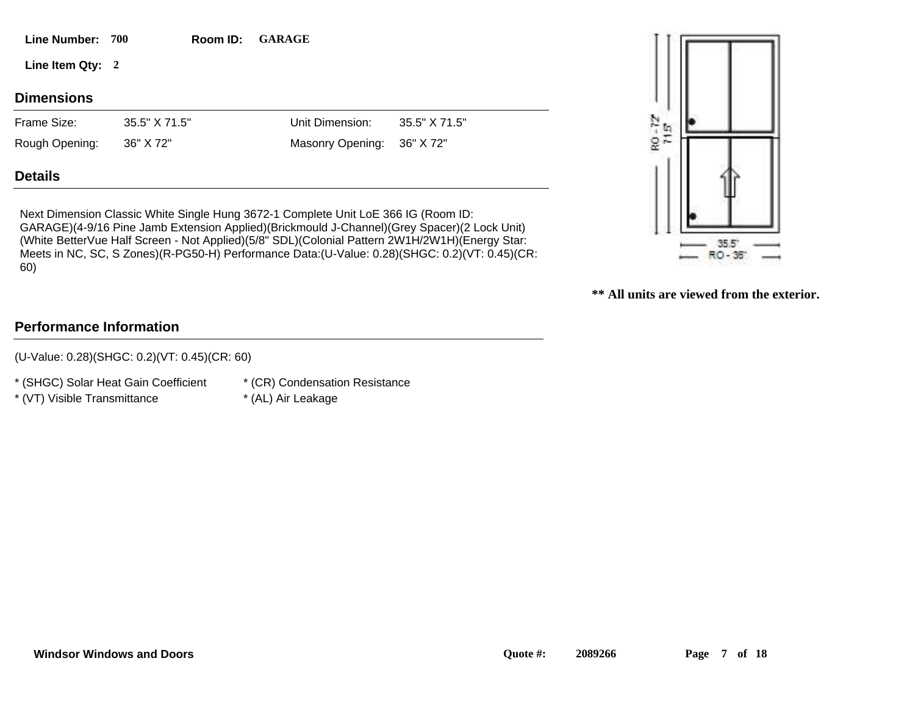| <b>Line Number:</b> | 700           | Room ID: | <b>GARAGE</b>    |               |       |  |
|---------------------|---------------|----------|------------------|---------------|-------|--|
| Line Item Qty: 2    |               |          |                  |               |       |  |
| <b>Dimensions</b>   |               |          |                  |               |       |  |
| Frame Size:         | 35.5" X 71.5" |          | Unit Dimension:  | 35.5" X 71.5" |       |  |
| Rough Opening:      | 36" X 72"     |          | Masonry Opening: | 36" X 72"     | RO-72 |  |
| <b>Details</b>      |               |          |                  |               |       |  |

Next Dimension Classic White Single Hung 3672-1 Complete Unit LoE 366 IG (Room ID: GARAGE)(4-9/16 Pine Jamb Extension Applied)(Brickmould J-Channel)(Grey Spacer)(2 Lock Unit) (White BetterVue Half Screen - Not Applied)(5/8" SDL)(Colonial Pattern 2W1H/2W1H)(Energy Star: Meets in NC, SC, S Zones)(R-PG50-H) Performance Data:(U-Value: 0.28)(SHGC: 0.2)(VT: 0.45)(CR: 60)



**\*\* All units are viewed from the exterior.**

# **Performance Information**

(U-Value: 0.28)(SHGC: 0.2)(VT: 0.45)(CR: 60)

\* (SHGC) Solar Heat Gain Coefficient

\* (CR) Condensation Resistance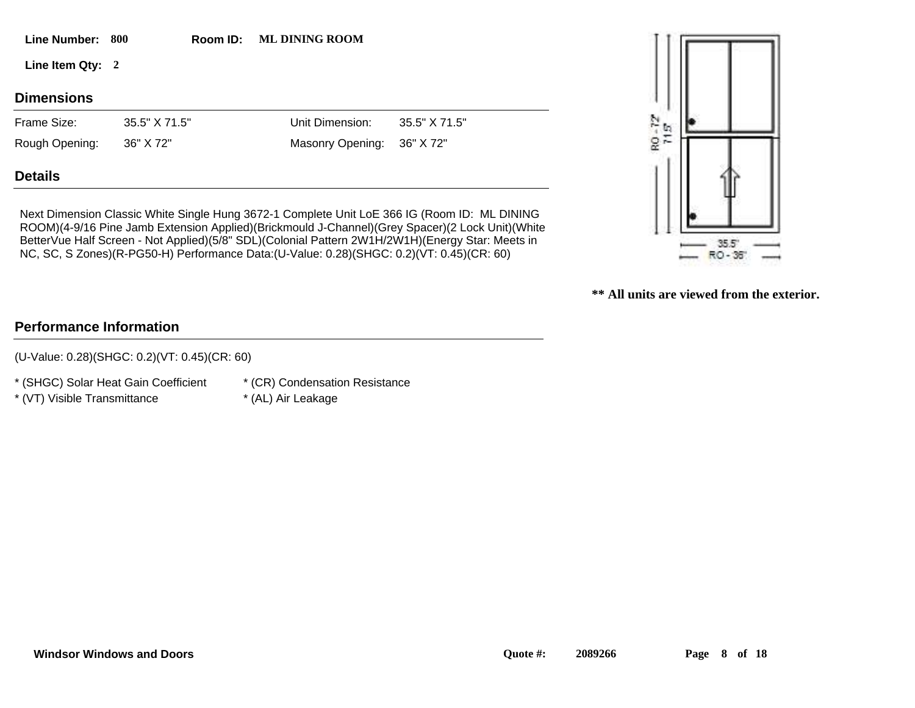| <b>Line Number:</b> | 800           | Room ID: | <b>ML DINING ROOM</b> |               |                           |  |  |
|---------------------|---------------|----------|-----------------------|---------------|---------------------------|--|--|
| Line Item Qty: 2    |               |          |                       |               |                           |  |  |
| <b>Dimensions</b>   |               |          |                       |               |                           |  |  |
| Frame Size:         | 35.5" X 71.5" |          | Unit Dimension:       | 35.5" X 71.5" | $\frac{N}{\epsilon_1}$ to |  |  |
| Rough Opening:      | 36" X 72"     |          | Masonry Opening:      | 36" X 72"     | $\frac{1}{2}$             |  |  |
| <b>Details</b>      |               |          |                       |               |                           |  |  |

Next Dimension Classic White Single Hung 3672-1 Complete Unit LoE 366 IG (Room ID: ML DINING ROOM)(4-9/16 Pine Jamb Extension Applied)(Brickmould J-Channel)(Grey Spacer)(2 Lock Unit)(White BetterVue Half Screen - Not Applied)(5/8" SDL)(Colonial Pattern 2W1H/2W1H)(Energy Star: Meets in NC, SC, S Zones)(R-PG50-H) Performance Data:(U-Value: 0.28)(SHGC: 0.2)(VT: 0.45)(CR: 60)



**\*\* All units are viewed from the exterior.**

# **Performance Information**

(U-Value: 0.28)(SHGC: 0.2)(VT: 0.45)(CR: 60)

\* (SHGC) Solar Heat Gain Coefficient

\* (CR) Condensation Resistance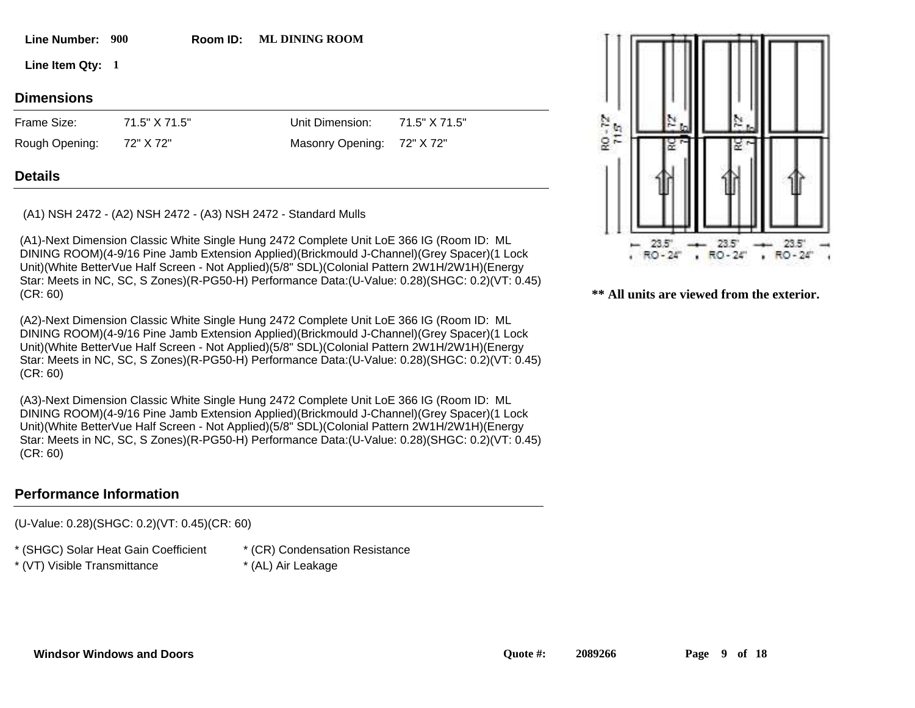Line Number: 900 Room ID: **Room ID:** ML DINING ROOM

**1 Line Item Qty:**

# **Dimensions**

72" X 72" 71.5" X 71.5" Frame Size: Rough Opening:

Masonry Opening: 72" X 72"

71.5" X 71.5"

Unit Dimension:

# **Details**

(A1) NSH 2472 - (A2) NSH 2472 - (A3) NSH 2472 - Standard Mulls

(A1)-Next Dimension Classic White Single Hung 2472 Complete Unit LoE 366 IG (Room ID: ML DINING ROOM)(4-9/16 Pine Jamb Extension Applied)(Brickmould J-Channel)(Grey Spacer)(1 Lock Unit)(White BetterVue Half Screen - Not Applied)(5/8" SDL)(Colonial Pattern 2W1H/2W1H)(Energy Star: Meets in NC, SC, S Zones)(R-PG50-H) Performance Data:(U-Value: 0.28)(SHGC: 0.2)(VT: 0.45) (CR: 60)

(A2)-Next Dimension Classic White Single Hung 2472 Complete Unit LoE 366 IG (Room ID: ML DINING ROOM)(4-9/16 Pine Jamb Extension Applied)(Brickmould J-Channel)(Grey Spacer)(1 Lock Unit)(White BetterVue Half Screen - Not Applied)(5/8" SDL)(Colonial Pattern 2W1H/2W1H)(Energy Star: Meets in NC, SC, S Zones)(R-PG50-H) Performance Data:(U-Value: 0.28)(SHGC: 0.2)(VT: 0.45) (CR: 60)

(A3)-Next Dimension Classic White Single Hung 2472 Complete Unit LoE 366 IG (Room ID: ML DINING ROOM)(4-9/16 Pine Jamb Extension Applied)(Brickmould J-Channel)(Grey Spacer)(1 Lock Unit)(White BetterVue Half Screen - Not Applied)(5/8" SDL)(Colonial Pattern 2W1H/2W1H)(Energy Star: Meets in NC, SC, S Zones)(R-PG50-H) Performance Data:(U-Value: 0.28)(SHGC: 0.2)(VT: 0.45) (CR: 60)

# **Performance Information**

(U-Value: 0.28)(SHGC: 0.2)(VT: 0.45)(CR: 60)

\* (SHGC) Solar Heat Gain Coefficient

\* (VT) Visible Transmittance \* (AL) Air Leakage

- \* (CR) Condensation Resistance
	-

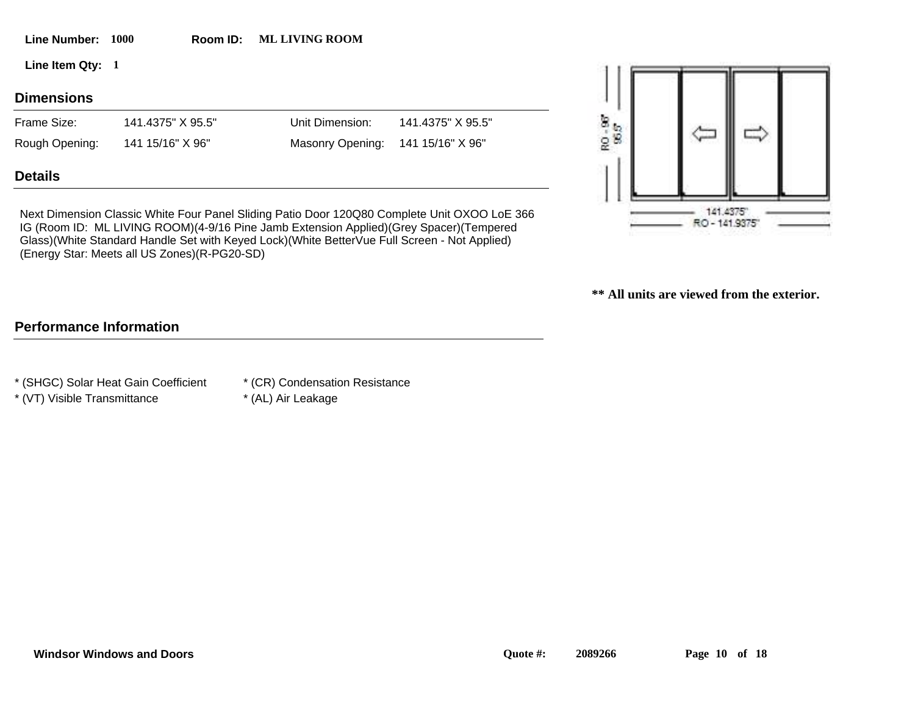| Line Number:      | <b>1000</b> | Room ID:          | <b>ML LIVING ROOM</b> |                   |               |                   |  |
|-------------------|-------------|-------------------|-----------------------|-------------------|---------------|-------------------|--|
| Line Item Qty: 1  |             |                   |                       |                   |               | <b>AND REPORT</b> |  |
| <b>Dimensions</b> |             |                   |                       |                   |               |                   |  |
| Frame Size:       |             | 141.4375" X 95.5" | Unit Dimension:       | 141.4375" X 95.5" |               |                   |  |
| Rough Opening:    |             | 141 15/16" X 96"  | Masonry Opening:      | 141 15/16" X 96"  | RO-98<br>95.5 |                   |  |
| <b>Details</b>    |             |                   |                       |                   |               |                   |  |

Next Dimension Classic White Four Panel Sliding Patio Door 120Q80 Complete Unit OXOO LoE 366 IG (Room ID: ML LIVING ROOM)(4-9/16 Pine Jamb Extension Applied)(Grey Spacer)(Tempered Glass)(White Standard Handle Set with Keyed Lock)(White BetterVue Full Screen - Not Applied) (Energy Star: Meets all US Zones)(R-PG20-SD)

**Room ID:** ML LIVING ROOM



**\*\* All units are viewed from the exterior.**

# **Performance Information**

\* (SHGC) Solar Heat Gain Coefficient

- \* (CR) Condensation Resistance
- \* (VT) Visible Transmittance \* (AL) Air Leakage
-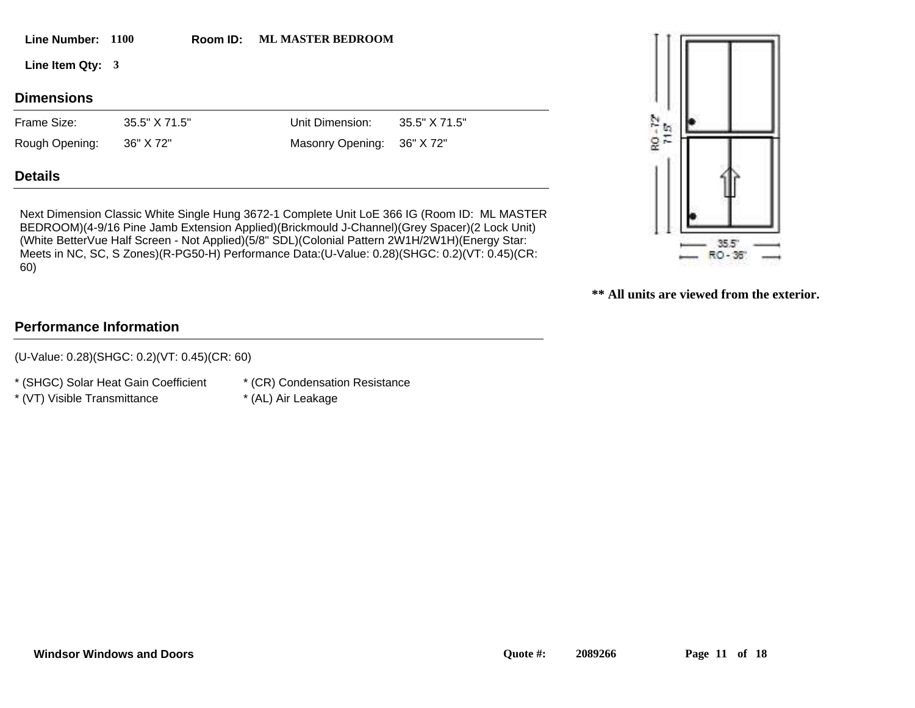| Line Number: 1100 |               | Room ID: | <b>ML MASTER BEDROOM</b> |               |                    |  |
|-------------------|---------------|----------|--------------------------|---------------|--------------------|--|
| Line Item Qty: 3  |               |          |                          |               |                    |  |
| <b>Dimensions</b> |               |          |                          |               |                    |  |
| Frame Size:       | 35.5" X 71.5" |          | Unit Dimension:          | 35.5" X 71.5" | $\frac{24}{10}$ to |  |
| Rough Opening:    | 36" X 72"     |          | <b>Masonry Opening:</b>  | 36" X 72"     | 52                 |  |

### **Details**

Next Dimension Classic White Single Hung 3672-1 Complete Unit LoE 366 IG (Room ID: ML MASTER BEDROOM)(4-9/16 Pine Jamb Extension Applied)(Brickmould J-Channel)(Grey Spacer)(2 Lock Unit) (White BetterVue Half Screen - Not Applied)(5/8" SDL)(Colonial Pattern 2W1H/2W1H)(Energy Star: Meets in NC, SC, S Zones)(R-PG50-H) Performance Data:(U-Value: 0.28)(SHGC: 0.2)(VT: 0.45)(CR: 60)



**\*\* All units are viewed from the exterior.**

# **Performance Information**

(U-Value: 0.28)(SHGC: 0.2)(VT: 0.45)(CR: 60)

\* (SHGC) Solar Heat Gain Coefficient

\* (CR) Condensation Resistance

- \* (VT) Visible Transmittance \* (AL) Air Leakage
-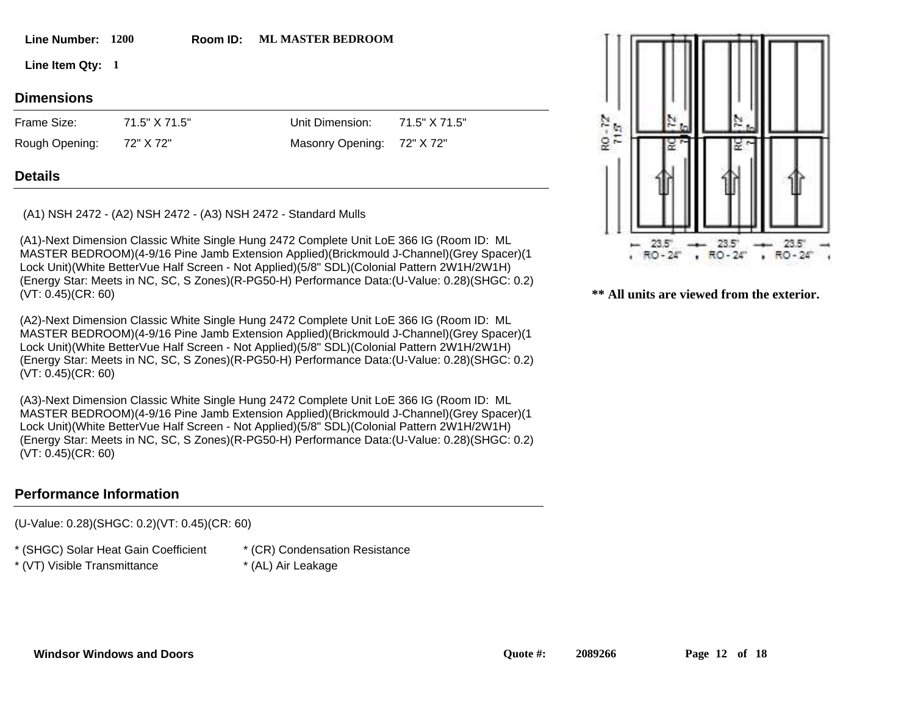#### **1200 Line Number: Room ID:**

Room ID: ML MASTER BEDROOM

**1 Line Item Qty:**

#### **Dimensions**

72" X 72" 71.5" X 71.5" Frame Size: Rough Opening:

Unit Dimension: Masonry Opening: 72" X 72" 71.5" X 71.5"

#### **Details**

(A1) NSH 2472 - (A2) NSH 2472 - (A3) NSH 2472 - Standard Mulls

(A1)-Next Dimension Classic White Single Hung 2472 Complete Unit LoE 366 IG (Room ID: ML MASTER BEDROOM)(4-9/16 Pine Jamb Extension Applied)(Brickmould J-Channel)(Grey Spacer)(1 Lock Unit)(White BetterVue Half Screen - Not Applied)(5/8" SDL)(Colonial Pattern 2W1H/2W1H) (Energy Star: Meets in NC, SC, S Zones)(R-PG50-H) Performance Data:(U-Value: 0.28)(SHGC: 0.2) (VT: 0.45)(CR: 60)

(A2)-Next Dimension Classic White Single Hung 2472 Complete Unit LoE 366 IG (Room ID: ML MASTER BEDROOM)(4-9/16 Pine Jamb Extension Applied)(Brickmould J-Channel)(Grey Spacer)(1 Lock Unit)(White BetterVue Half Screen - Not Applied)(5/8" SDL)(Colonial Pattern 2W1H/2W1H) (Energy Star: Meets in NC, SC, S Zones)(R-PG50-H) Performance Data:(U-Value: 0.28)(SHGC: 0.2) (VT: 0.45)(CR: 60)

(A3)-Next Dimension Classic White Single Hung 2472 Complete Unit LoE 366 IG (Room ID: ML MASTER BEDROOM)(4-9/16 Pine Jamb Extension Applied)(Brickmould J-Channel)(Grey Spacer)(1 Lock Unit)(White BetterVue Half Screen - Not Applied)(5/8" SDL)(Colonial Pattern 2W1H/2W1H) (Energy Star: Meets in NC, SC, S Zones)(R-PG50-H) Performance Data:(U-Value: 0.28)(SHGC: 0.2) (VT: 0.45)(CR: 60)

#### **Performance Information**

(U-Value: 0.28)(SHGC: 0.2)(VT: 0.45)(CR: 60)

\* (SHGC) Solar Heat Gain Coefficient

\* (VT) Visible Transmittance \* (AL) Air Leakage

- \* (CR) Condensation Resistance
	-

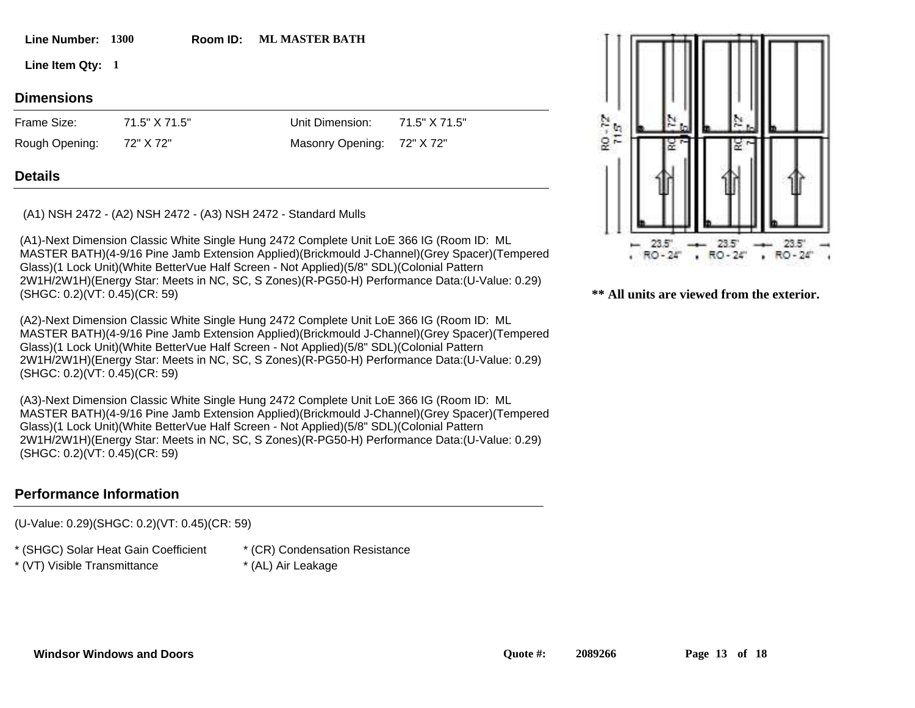**1300 Line Number: Room ID: Room ID: ML MASTER BATH** 

**1 Line Item Qty:**

# **Dimensions**

72" X 72" 71.5" X 71.5" Frame Size: Rough Opening:

Masonry Opening: 72" X 72"

71.5" X 71.5"

Unit Dimension:

# **Details**

(A1) NSH 2472 - (A2) NSH 2472 - (A3) NSH 2472 - Standard Mulls

(A1)-Next Dimension Classic White Single Hung 2472 Complete Unit LoE 366 IG (Room ID: ML MASTER BATH)(4-9/16 Pine Jamb Extension Applied)(Brickmould J-Channel)(Grey Spacer)(Tempered Glass)(1 Lock Unit)(White BetterVue Half Screen - Not Applied)(5/8" SDL)(Colonial Pattern 2W1H/2W1H)(Energy Star: Meets in NC, SC, S Zones)(R-PG50-H) Performance Data:(U-Value: 0.29) (SHGC: 0.2)(VT: 0.45)(CR: 59)

(A2)-Next Dimension Classic White Single Hung 2472 Complete Unit LoE 366 IG (Room ID: ML MASTER BATH)(4-9/16 Pine Jamb Extension Applied)(Brickmould J-Channel)(Grey Spacer)(Tempered Glass)(1 Lock Unit)(White BetterVue Half Screen - Not Applied)(5/8" SDL)(Colonial Pattern 2W1H/2W1H)(Energy Star: Meets in NC, SC, S Zones)(R-PG50-H) Performance Data:(U-Value: 0.29) (SHGC: 0.2)(VT: 0.45)(CR: 59)

(A3)-Next Dimension Classic White Single Hung 2472 Complete Unit LoE 366 IG (Room ID: ML MASTER BATH)(4-9/16 Pine Jamb Extension Applied)(Brickmould J-Channel)(Grey Spacer)(Tempered Glass)(1 Lock Unit)(White BetterVue Half Screen - Not Applied)(5/8" SDL)(Colonial Pattern 2W1H/2W1H)(Energy Star: Meets in NC, SC, S Zones)(R-PG50-H) Performance Data:(U-Value: 0.29) (SHGC: 0.2)(VT: 0.45)(CR: 59)

### **Performance Information**

(U-Value: 0.29)(SHGC: 0.2)(VT: 0.45)(CR: 59)

\* (SHGC) Solar Heat Gain Coefficient

- \* (VT) Visible Transmittance \* (AL) Air Leakage
- \* (CR) Condensation Resistance
- 

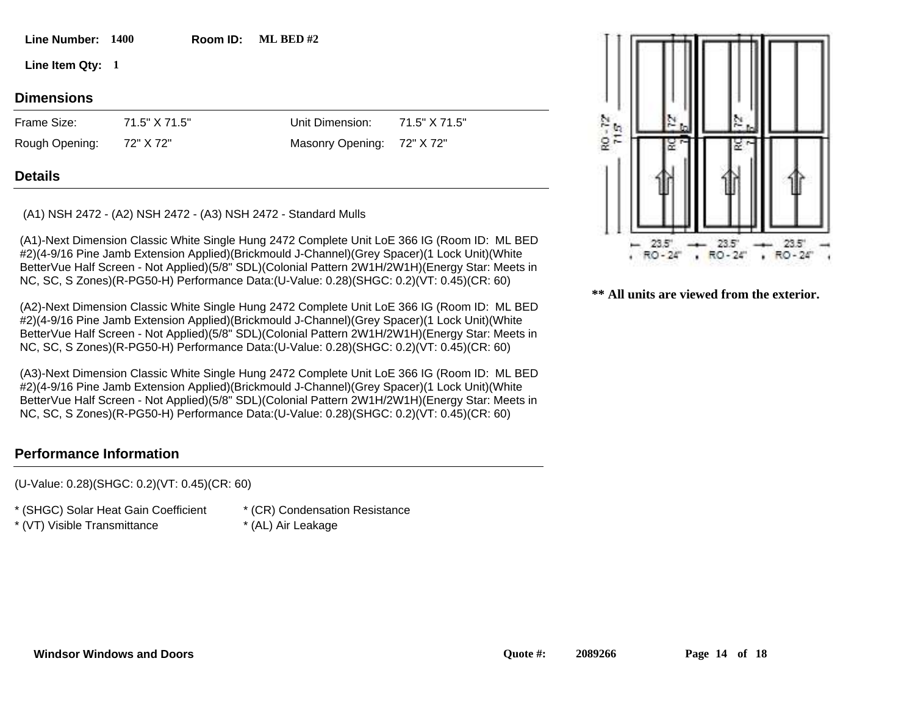**1400 Line Number: Room ID: Room ID:** ML BED #2

**1 Line Item Qty:**

# **Dimensions**

72" X 72" 71.5" X 71.5" Frame Size: Rough Opening:

Masonry Opening: 72" X 72"

71.5" X 71.5"

Unit Dimension:

# **Details**

(A1) NSH 2472 - (A2) NSH 2472 - (A3) NSH 2472 - Standard Mulls

(A1)-Next Dimension Classic White Single Hung 2472 Complete Unit LoE 366 IG (Room ID: ML BED #2)(4-9/16 Pine Jamb Extension Applied)(Brickmould J-Channel)(Grey Spacer)(1 Lock Unit)(White BetterVue Half Screen - Not Applied)(5/8" SDL)(Colonial Pattern 2W1H/2W1H)(Energy Star: Meets in NC, SC, S Zones)(R-PG50-H) Performance Data:(U-Value: 0.28)(SHGC: 0.2)(VT: 0.45)(CR: 60)

(A2)-Next Dimension Classic White Single Hung 2472 Complete Unit LoE 366 IG (Room ID: ML BED #2)(4-9/16 Pine Jamb Extension Applied)(Brickmould J-Channel)(Grey Spacer)(1 Lock Unit)(White BetterVue Half Screen - Not Applied)(5/8" SDL)(Colonial Pattern 2W1H/2W1H)(Energy Star: Meets in NC, SC, S Zones)(R-PG50-H) Performance Data:(U-Value: 0.28)(SHGC: 0.2)(VT: 0.45)(CR: 60)

(A3)-Next Dimension Classic White Single Hung 2472 Complete Unit LoE 366 IG (Room ID: ML BED #2)(4-9/16 Pine Jamb Extension Applied)(Brickmould J-Channel)(Grey Spacer)(1 Lock Unit)(White BetterVue Half Screen - Not Applied)(5/8" SDL)(Colonial Pattern 2W1H/2W1H)(Energy Star: Meets in NC, SC, S Zones)(R-PG50-H) Performance Data:(U-Value: 0.28)(SHGC: 0.2)(VT: 0.45)(CR: 60)

# **Performance Information**

(U-Value: 0.28)(SHGC: 0.2)(VT: 0.45)(CR: 60)

\* (SHGC) Solar Heat Gain Coefficient

- \* (VT) Visible Transmittance \* (AL) Air Leakage
- \* (CR) Condensation Resistance
- 

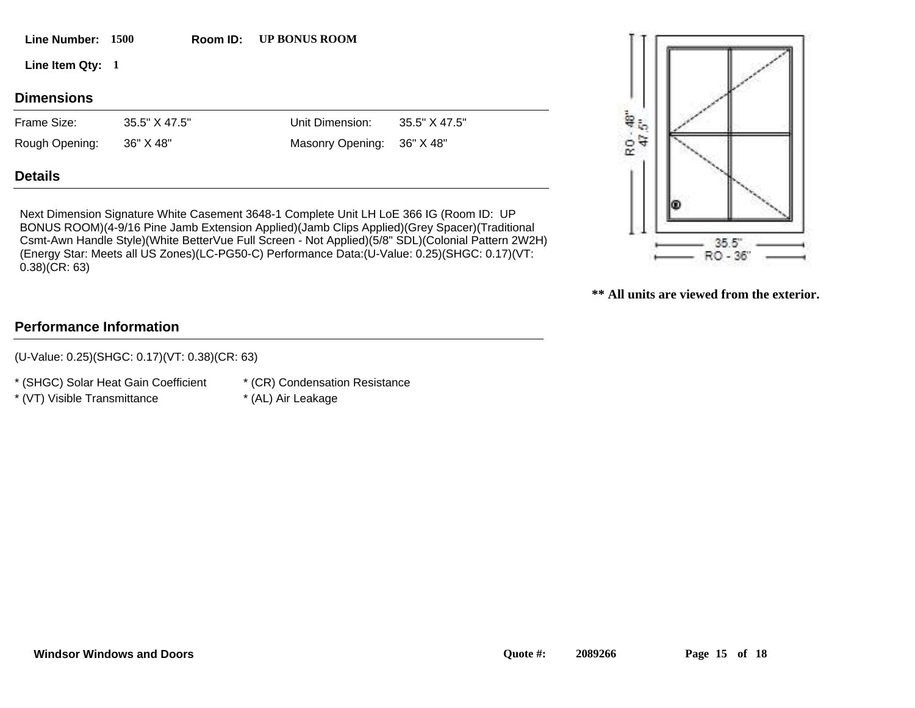| Rough Opening: | 36" X 48" | Masonry Opening: 36" X 48" |  |
|----------------|-----------|----------------------------|--|
| <b>Details</b> |           |                            |  |
|                |           |                            |  |

Next Dimension Signature White Casement 3648-1 Complete Unit LH LoE 366 IG (Room ID: UP BONUS ROOM)(4-9/16 Pine Jamb Extension Applied)(Jamb Clips Applied)(Grey Spacer)(Traditional Csmt-Awn Handle Style)(White BetterVue Full Screen - Not Applied)(5/8" SDL)(Colonial Pattern 2W2H) (Energy Star: Meets all US Zones)(LC-PG50-C) Performance Data:(U-Value: 0.25)(SHGC: 0.17)(VT: 0.38)(CR: 63)

# **Performance Information**

(U-Value: 0.25)(SHGC: 0.17)(VT: 0.38)(CR: 63)

\* (SHGC) Solar Heat Gain Coefficient

\* (CR) Condensation Resistance

- \* (VT) Visible Transmittance \* (AL) Air Leakage
- 



**\*\* All units are viewed from the exterior.**

**1500 Line Number: Room ID:**

**Room ID:** UP BONUS ROOM

**1 Line Item Qty:**

**Dimensions**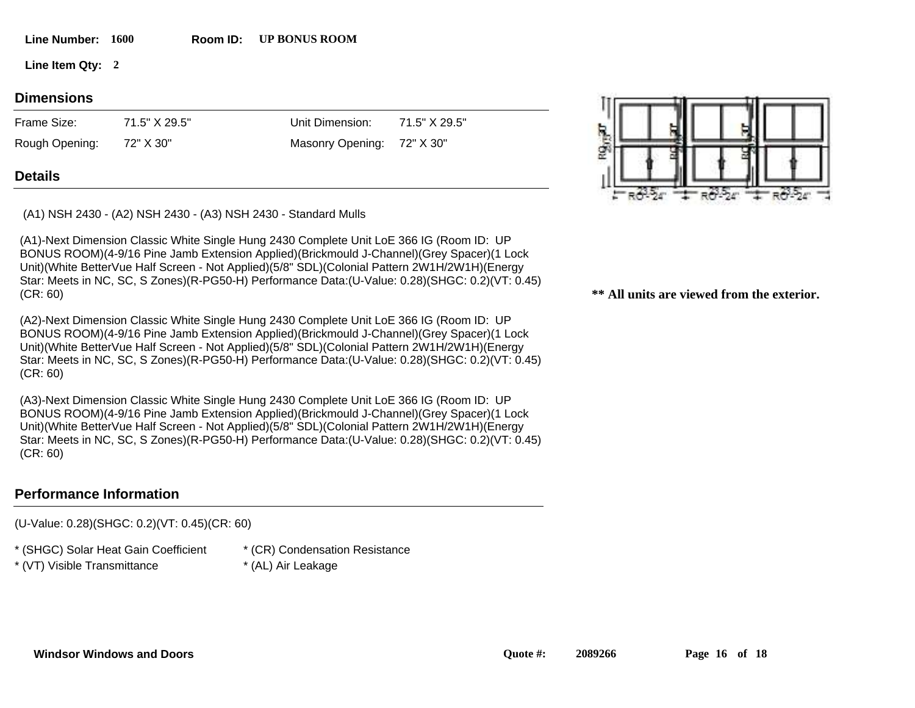|  | <b>Line Number:</b> | 1600 |
|--|---------------------|------|
|--|---------------------|------|

Line Number: 1600 Room ID: UP BONUS ROOM

**2 Line Item Qty:**

#### **Dimensions**

72" X 30" 71.5" X 29.5" Frame Size: Rough Opening:

Unit Dimension: Masonry Opening:

72" X 30"

71.5" X 29.5"

#### **Details**

(A1) NSH 2430 - (A2) NSH 2430 - (A3) NSH 2430 - Standard Mulls

(A1)-Next Dimension Classic White Single Hung 2430 Complete Unit LoE 366 IG (Room ID: UP BONUS ROOM)(4-9/16 Pine Jamb Extension Applied)(Brickmould J-Channel)(Grey Spacer)(1 Lock Unit)(White BetterVue Half Screen - Not Applied)(5/8" SDL)(Colonial Pattern 2W1H/2W1H)(Energy Star: Meets in NC, SC, S Zones)(R-PG50-H) Performance Data:(U-Value: 0.28)(SHGC: 0.2)(VT: 0.45) (CR: 60)

(A2)-Next Dimension Classic White Single Hung 2430 Complete Unit LoE 366 IG (Room ID: UP BONUS ROOM)(4-9/16 Pine Jamb Extension Applied)(Brickmould J-Channel)(Grey Spacer)(1 Lock Unit)(White BetterVue Half Screen - Not Applied)(5/8" SDL)(Colonial Pattern 2W1H/2W1H)(Energy Star: Meets in NC, SC, S Zones)(R-PG50-H) Performance Data:(U-Value: 0.28)(SHGC: 0.2)(VT: 0.45) (CR: 60)

(A3)-Next Dimension Classic White Single Hung 2430 Complete Unit LoE 366 IG (Room ID: UP BONUS ROOM)(4-9/16 Pine Jamb Extension Applied)(Brickmould J-Channel)(Grey Spacer)(1 Lock Unit)(White BetterVue Half Screen - Not Applied)(5/8" SDL)(Colonial Pattern 2W1H/2W1H)(Energy Star: Meets in NC, SC, S Zones)(R-PG50-H) Performance Data:(U-Value: 0.28)(SHGC: 0.2)(VT: 0.45) (CR: 60)

### **Performance Information**

(U-Value: 0.28)(SHGC: 0.2)(VT: 0.45)(CR: 60)

\* (SHGC) Solar Heat Gain Coefficient

\* (VT) Visible Transmittance \* (AL) Air Leakage

- \* (CR) Condensation Resistance
- 

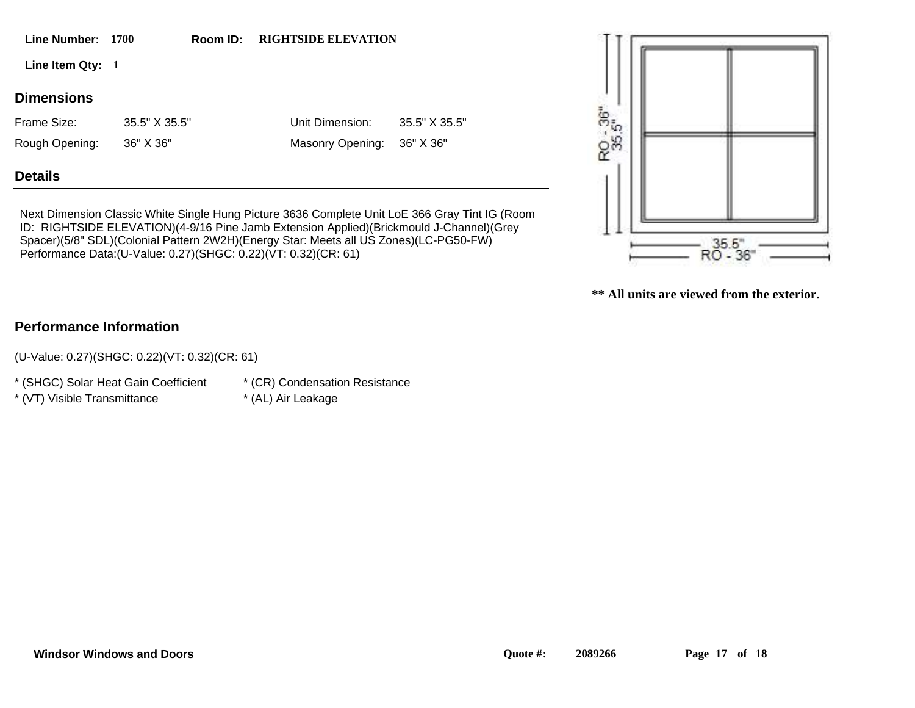| <b>Windsor Windows and Doors</b> |  |  |
|----------------------------------|--|--|
|----------------------------------|--|--|

36" X 36"

35.5" X 35.5"

# **Details**

Next Dimension Classic White Single Hung Picture 3636 Complete Unit LoE 366 Gray Tint IG (Room ID: RIGHTSIDE ELEVATION)(4-9/16 Pine Jamb Extension Applied)(Brickmould J-Channel)(Grey Spacer)(5/8" SDL)(Colonial Pattern 2W2H)(Energy Star: Meets all US Zones)(LC-PG50-FW) Performance Data:(U-Value: 0.27)(SHGC: 0.22)(VT: 0.32)(CR: 61)

**Room ID: RIGHTSIDE ELEVATION** 

## **\*\* All units are viewed from the exterior.**

(U-Value: 0.27)(SHGC: 0.22)(VT: 0.32)(CR: 61)

\* (SHGC) Solar Heat Gain Coefficient

\* (VT) Visible Transmittance \* (AL) Air Leakage

**Performance Information**

\* (CR) Condensation Resistance



**1 Line Item Qty:**

# **Dimensions**

36" X 36" 35.5" X 35.5" Frame Size: Rough Opening:

Masonry Opening:

Unit Dimension:

**1700 Line Number: Room ID:**